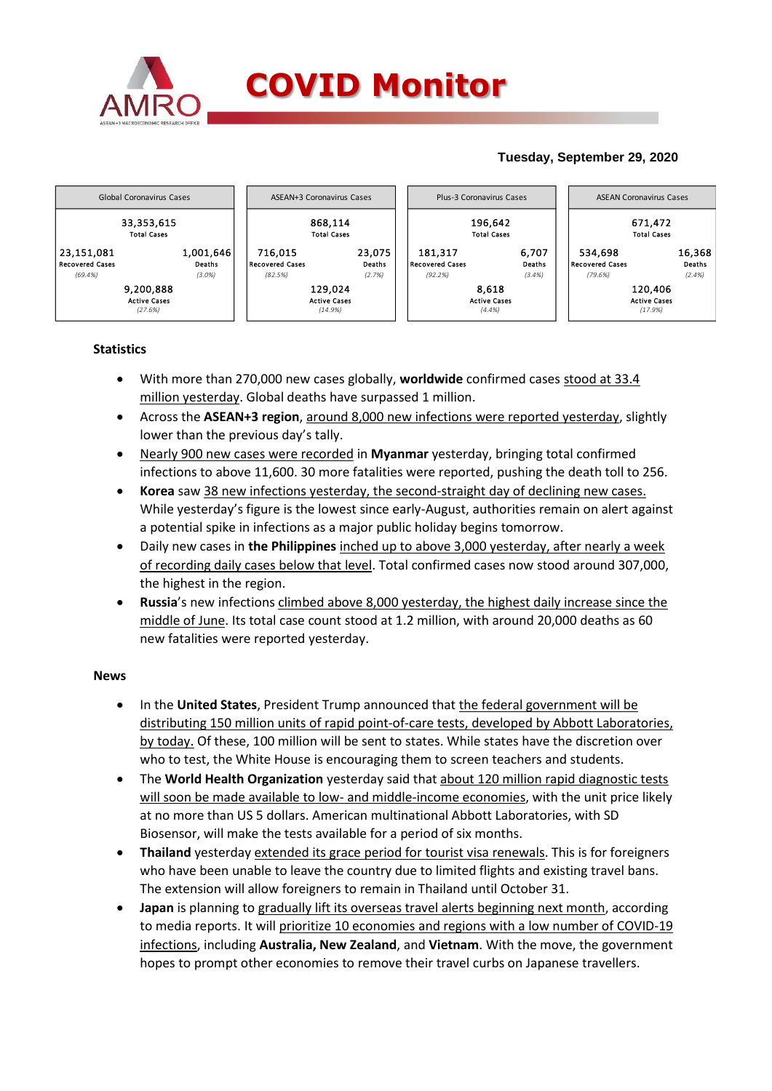

### **Tuesday, September 29, 2020**



#### **Statistics**

- With more than 270,000 new cases globally, **worldwide** confirmed cases stood at 33.4 million yesterday. Global deaths have surpassed 1 million.
- Across the **ASEAN+3 region**, around 8,000 new infections were reported yesterday, slightly lower than the previous day's tally.
- Nearly 900 new cases were recorded in **Myanmar** yesterday, bringing total confirmed infections to above 11,600. 30 more fatalities were reported, pushing the death toll to 256.
- **Korea** saw 38 new infections yesterday, the second-straight day of declining new cases. While yesterday's figure is the lowest since early-August, authorities remain on alert against a potential spike in infections as a major public holiday begins tomorrow.
- Daily new cases in **the Philippines** inched up to above 3,000 yesterday, after nearly a week of recording daily cases below that level. Total confirmed cases now stood around 307,000, the highest in the region.
- **Russia**'s new infections climbed above 8,000 yesterday, the highest daily increase since the middle of June. Its total case count stood at 1.2 million, with around 20,000 deaths as 60 new fatalities were reported yesterday.

#### **News**

- In the **United States**, President Trump announced that the federal government will be distributing 150 million units of rapid point-of-care tests, developed by Abbott Laboratories, by today. Of these, 100 million will be sent to states. While states have the discretion over who to test, the White House is encouraging them to screen teachers and students.
- The **World Health Organization** yesterday said that about 120 million rapid diagnostic tests will soon be made available to low- and middle-income economies, with the unit price likely at no more than US 5 dollars. American multinational Abbott Laboratories, with SD Biosensor, will make the tests available for a period of six months.
- **Thailand** yesterday extended its grace period for tourist visa renewals. This is for foreigners who have been unable to leave the country due to limited flights and existing travel bans. The extension will allow foreigners to remain in Thailand until October 31.
- **Japan** is planning to gradually lift its overseas travel alerts beginning next month, according to media reports. It will prioritize 10 economies and regions with a low number of COVID-19 infections, including **Australia, New Zealand**, and **Vietnam**. With the move, the government hopes to prompt other economies to remove their travel curbs on Japanese travellers.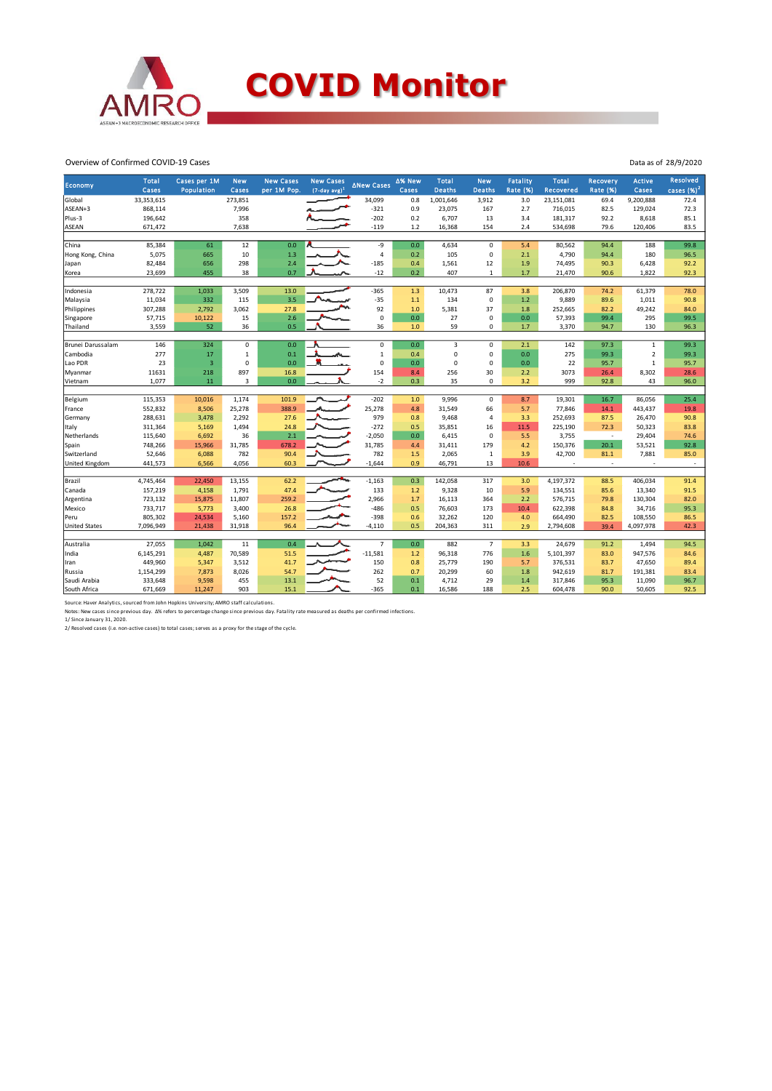

# **COVID Monitor**

Data as of 28/9/2020

Overview of Confirmed COVID-19 Cases

|                      | <b>Total</b> | Cases per 1M            | <b>New</b>   | <b>New Cases</b> | <b>New Cases</b>            |                | ∆% New | <b>Total</b>  | <b>New</b>     | Fatality        | Total      | <b>Recovery</b> | <b>Active</b>  | <b>Resolved</b>          |
|----------------------|--------------|-------------------------|--------------|------------------|-----------------------------|----------------|--------|---------------|----------------|-----------------|------------|-----------------|----------------|--------------------------|
| <b>Economy</b>       | Cases        | Population              | Cases        | per 1M Pop.      | $(7$ -day avg) <sup>1</sup> | ∆New Cases     | Cases  | <b>Deaths</b> | <b>Deaths</b>  | <b>Rate (%)</b> | Recovered  | <b>Rate (%)</b> | Cases          | cases $(%)2$             |
| Global               | 33,353,615   |                         | 273,851      |                  |                             | 34,099         | 0.8    | 1,001,646     | 3,912          | 3.0             | 23,151,081 | 69.4            | 9,200,888      | 72.4                     |
| ASEAN+3              | 868,114      |                         | 7,996        |                  |                             | $-321$         | 0.9    | 23,075        | 167            | 2.7             | 716,015    | 82.5            | 129,024        | 72.3                     |
| Plus-3               | 196,642      |                         | 358          |                  |                             | $-202$         | 0.2    | 6,707         | 13             | 3.4             | 181,317    | 92.2            | 8,618          | 85.1                     |
| <b>ASEAN</b>         | 671,472      |                         | 7,638        |                  |                             | $-119$         | 1.2    | 16,368        | 154            | 2.4             | 534,698    | 79.6            | 120,406        | 83.5                     |
|                      |              |                         |              |                  |                             |                |        |               |                |                 |            |                 |                |                          |
| China                | 85,384       | 61                      | 12           | 0.0              |                             | -9             | 0.0    | 4,634         | 0              | 5.4             | 80,562     | 94.4            | 188            | 99.8                     |
| Hong Kong, China     | 5,075        | 665                     | 10           | 1.3              |                             | $\overline{4}$ | 0.2    | 105           | 0              | 2.1             | 4,790      | 94.4            | 180            | 96.5                     |
| Japan                | 82,484       | 656                     | 298          | 2.4              |                             | $-185$         | 0.4    | 1,561         | 12             | 1.9             | 74,495     | 90.3            | 6,428          | 92.2                     |
| Korea                | 23,699       | 455                     | 38           | 0.7              |                             | $-12$          | 0.2    | 407           | $\mathbf{1}$   | 1.7             | 21,470     | 90.6            | 1,822          | 92.3                     |
|                      |              |                         |              |                  |                             |                |        |               |                |                 |            |                 |                |                          |
| Indonesia            | 278,722      | 1,033                   | 3,509        | 13.0             |                             | $-365$         | 1.3    | 10,473        | 87             | 3.8             | 206,870    | 74.2            | 61,379         | 78.0                     |
| Malaysia             | 11,034       | 332                     | 115          | 3.5              | $\sim$                      | $-35$          | 1.1    | 134           | $\mathbf 0$    | 1.2             | 9,889      | 89.6            | 1,011          | 90.8                     |
| Philippines          | 307,288      | 2,792                   | 3,062        | 27.8             |                             | 92             | 1.0    | 5,381         | 37             | 1.8             | 252,665    | 82.2            | 49,242         | 84.0                     |
| Singapore            | 57,715       | 10,122                  | 15           | 2.6              |                             | $\mathbf 0$    | 0.0    | 27            | 0              | 0.0             | 57,393     | 99.4            | 295            | 99.5                     |
| Thailand             | 3,559        | 52                      | 36           | 0.5              |                             | 36             | 1.0    | 59            | 0              | 1.7             | 3,370      | 94.7            | 130            | 96.3                     |
| Brunei Darussalam    | 146          | 324                     | $\pmb{0}$    | 0.0              |                             | 0              | 0.0    | 3             | 0              | 2.1             | 142        | 97.3            | 1              | 99.3                     |
| Cambodia             | 277          | 17                      | $\mathbf{1}$ | 0.1              |                             | $\mathbf{1}$   | 0.4    | $\mathbf 0$   | 0              | 0.0             | 275        | 99.3            | $\overline{2}$ | 99.3                     |
| Lao PDR              | 23           | $\overline{\mathbf{3}}$ | $\Omega$     | 0.0              |                             | $\mathbf 0$    | 0.0    | $\Omega$      | $\Omega$       | 0.0             | 22         | 95.7            | $\mathbf{1}$   | 95.7                     |
| Myanmar              | 11631        | 218                     | 897          | 16.8             |                             | 154            | 8.4    | 256           | 30             | 2.2             | 3073       | 26.4            | 8,302          | 28.6                     |
| Vietnam              | 1,077        | 11                      | 3            | 0.0              |                             | $-2$           | 0.3    | 35            | 0              | 3.2             | 999        | 92.8            | 43             | 96.0                     |
|                      |              |                         |              |                  |                             |                |        |               |                |                 |            |                 |                |                          |
| Belgium              | 115,353      | 10,016                  | 1,174        | 101.9            |                             | $-202$         | 1.0    | 9,996         | 0              | 8.7             | 19,301     | 16.7            | 86,056         | 25.4                     |
| France               | 552,832      | 8,506                   | 25,278       | 388.9            |                             | 25,278         | 4.8    | 31,549        | 66             | 5.7             | 77,846     | 14.1            | 443,437        | 19.8                     |
| Germany              | 288,631      | 3,478                   | 2,292        | 27.6             |                             | 979            | 0.8    | 9,468         | $\overline{a}$ | 3.3             | 252,693    | 87.5            | 26,470         | 90.8                     |
| Italy                | 311,364      | 5,169                   | 1,494        | 24.8             |                             | $-272$         | 0.5    | 35,851        | 16             | 11.5            | 225,190    | 72.3            | 50,323         | 83.8                     |
| Netherlands          | 115,640      | 6,692                   | 36           | 2.1              |                             | $-2,050$       | 0.0    | 6,415         | $\Omega$       | 5.5             | 3,755      | $\sim$          | 29,404         | 74.6                     |
| Spain                | 748,266      | 15,966                  | 31,785       | 678.2            |                             | 31,785         | 4.4    | 31,411        | 179            | 4.2             | 150,376    | 20.1            | 53,521         | 92.8                     |
| Switzerland          | 52,646       | 6,088                   | 782          | 90.4             | ∽                           | 782            | 1.5    | 2,065         | $1\,$          | 3.9             | 42,700     | 81.1            | 7,881          | 85.0                     |
| United Kingdom       | 441,573      | 6,566                   | 4,056        | 60.3             |                             | $-1,644$       | 0.9    | 46,791        | 13             | 10.6            |            | $\sim$          |                | $\overline{\phantom{a}}$ |
|                      |              |                         |              |                  |                             |                |        |               |                |                 |            |                 |                |                          |
| Brazil               | 4,745,464    | 22,450                  | 13,155       | 62.2             | ᅐ                           | $-1,163$       | 0.3    | 142,058       | 317            | 3.0             | 4,197,372  | 88.5            | 406,034        | 91.4                     |
| Canada               | 157,219      | 4,158                   | 1,791        | 47.4             |                             | 133            | 1.2    | 9,328         | 10             | 5.9             | 134,551    | 85.6            | 13,340         | 91.5                     |
| Argentina            | 723,132      | 15,875                  | 11,807       | 259.2            |                             | 2,966          | 1.7    | 16.113        | 364            | 2.2             | 576,715    | 79.8            | 130,304        | 82.0                     |
| Mexico               | 733,717      | 5,773                   | 3,400        | 26.8             |                             | $-486$         | 0.5    | 76.603        | 173            | 10.4            | 622,398    | 84.8            | 34,716         | 95.3                     |
| Peru                 | 805,302      | 24,534                  | 5,160        | 157.2            |                             | $-398$         | 0.6    | 32,262        | 120            | 4.0             | 664,490    | 82.5            | 108,550        | 86.5                     |
| <b>United States</b> | 7,096,949    | 21,438                  | 31,918       | 96.4             |                             | $-4,110$       | 0.5    | 204,363       | 311            | 2.9             | 2,794,608  | 39.4            | 4,097,978      | 42.3                     |
|                      |              |                         |              |                  |                             |                |        |               |                |                 |            |                 |                |                          |
| Australia            | 27,055       | 1,042                   | 11           | 0.4              |                             | $\overline{7}$ | 0.0    | 882           | $\overline{7}$ | 3.3             | 24,679     | 91.2            | 1,494          | 94.5                     |
| India                | 6,145,291    | 4,487                   | 70,589       | 51.5             |                             | $-11,581$      | 1.2    | 96,318        | 776            | 1.6             | 5,101,397  | 83.0            | 947,576        | 84.6                     |
| Iran                 | 449,960      | 5,347                   | 3,512        | 41.7             |                             | 150            | 0.8    | 25,779        | 190            | 5.7             | 376,531    | 83.7            | 47,650         | 89.4                     |
| Russia               | 1,154,299    | 7,873                   | 8,026        | 54.7             |                             | 262            | 0.7    | 20,299        | 60             | 1.8             | 942,619    | 81.7            | 191,381        | 83.4                     |
| Saudi Arabia         | 333,648      | 9,598                   | 455          | 13.1             |                             | 52             | 0.1    | 4,712         | 29             | 1.4             | 317,846    | 95.3            | 11,090         | 96.7                     |
| South Africa         | 671,669      | 11,247                  | 903          | 15.1             |                             | $-365$         | 0.1    | 16,586        | 188            | 2.5             | 604,478    | 90.0            | 50,605         | 92.5                     |

Source: Haver Analytics, sourced from John Hopkins University; AMRO staff calculations.<br>Notes: New cases since previous day. ∆% refers to percentage change since previous day. Fatality rate measured as deaths per confirmed